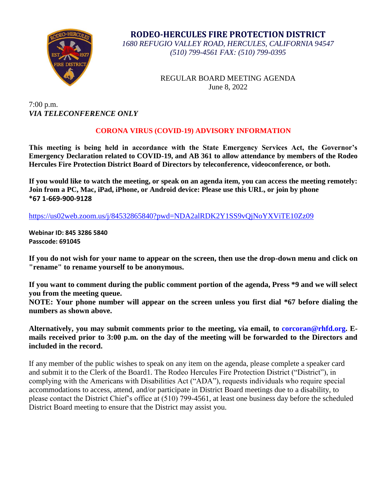

**RODEO-HERCULES FIRE PROTECTION DISTRICT** *1680 REFUGIO VALLEY ROAD, HERCULES, CALIFORNIA 94547 (510) 799-4561 FAX: (510) 799-0395*

> REGULAR BOARD MEETING AGENDA June 8, 2022

7:00 p.m. *VIA TELECONFERENCE ONLY*

# **CORONA VIRUS (COVID-19) ADVISORY INFORMATION**

**This meeting is being held in accordance with the State Emergency Services Act, the Governor's Emergency Declaration related to COVID-19, and AB 361 to allow attendance by members of the Rodeo Hercules Fire Protection District Board of Directors by teleconference, videoconference, or both.** 

**If you would like to watch the meeting, or speak on an agenda item, you can access the meeting remotely: Join from a PC, Mac, iPad, iPhone, or Android device: Please use this URL, or join by phone \*67 1-669-900-9128** 

<https://us02web.zoom.us/j/84532865840?pwd=NDA2alRDK2Y1SS9vQjNoYXViTE10Zz09>

**Webinar ID: 845 3286 5840 Passcode: 691045**

**If you do not wish for your name to appear on the screen, then use the drop-down menu and click on "rename" to rename yourself to be anonymous.** 

**If you want to comment during the public comment portion of the agenda, Press \*9 and we will select you from the meeting queue.** 

**NOTE: Your phone number will appear on the screen unless you first dial \*67 before dialing the numbers as shown above.**

**Alternatively, you may submit comments prior to the meeting, via email, to corcoran@rhfd.org. Emails received prior to 3:00 p.m. on the day of the meeting will be forwarded to the Directors and included in the record.** 

If any member of the public wishes to speak on any item on the agenda, please complete a speaker card and submit it to the Clerk of the Board1. The Rodeo Hercules Fire Protection District ("District"), in complying with the Americans with Disabilities Act ("ADA"), requests individuals who require special accommodations to access, attend, and/or participate in District Board meetings due to a disability, to please contact the District Chief's office at (510) 799-4561, at least one business day before the scheduled District Board meeting to ensure that the District may assist you.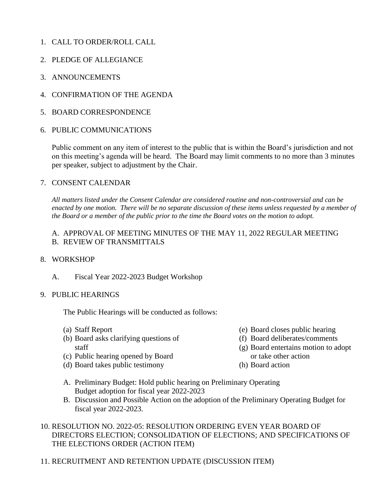- 1. CALL TO ORDER/ROLL CALL
- 2. PLEDGE OF ALLEGIANCE
- 3. ANNOUNCEMENTS
- 4. CONFIRMATION OF THE AGENDA
- 5. BOARD CORRESPONDENCE
- 6. PUBLIC COMMUNICATIONS

Public comment on any item of interest to the public that is within the Board's jurisdiction and not on this meeting's agenda will be heard. The Board may limit comments to no more than 3 minutes per speaker, subject to adjustment by the Chair.

#### 7. CONSENT CALENDAR

*All matters listed under the Consent Calendar are considered routine and non-controversial and can be enacted by one motion. There will be no separate discussion of these items unless requested by a member of the Board or a member of the public prior to the time the Board votes on the motion to adopt.*

### A. APPROVAL OF MEETING MINUTES OF THE MAY 11, 2022 REGULAR MEETING B. REVIEW OF TRANSMITTALS

### 8. WORKSHOP

A. Fiscal Year 2022-2023 Budget Workshop

### 9. PUBLIC HEARINGS

The Public Hearings will be conducted as follows:

- (a) Staff Report
- (b) Board asks clarifying questions of staff
- (c) Public hearing opened by Board
- (d) Board takes public testimony
- (e) Board closes public hearing
- (f) Board deliberates/comments
- (g) Board entertains motion to adopt or take other action
- (h) Board action
- A. Preliminary Budget: Hold public hearing on Preliminary Operating Budget adoption for fiscal year 2022-2023
- B. Discussion and Possible Action on the adoption of the Preliminary Operating Budget for fiscal year 2022-2023.

### 10. RESOLUTION NO. 2022-05: RESOLUTION ORDERING EVEN YEAR BOARD OF DIRECTORS ELECTION; CONSOLIDATION OF ELECTIONS; AND SPECIFICATIONS OF THE ELECTIONS ORDER (ACTION ITEM)

11. RECRUITMENT AND RETENTION UPDATE (DISCUSSION ITEM)